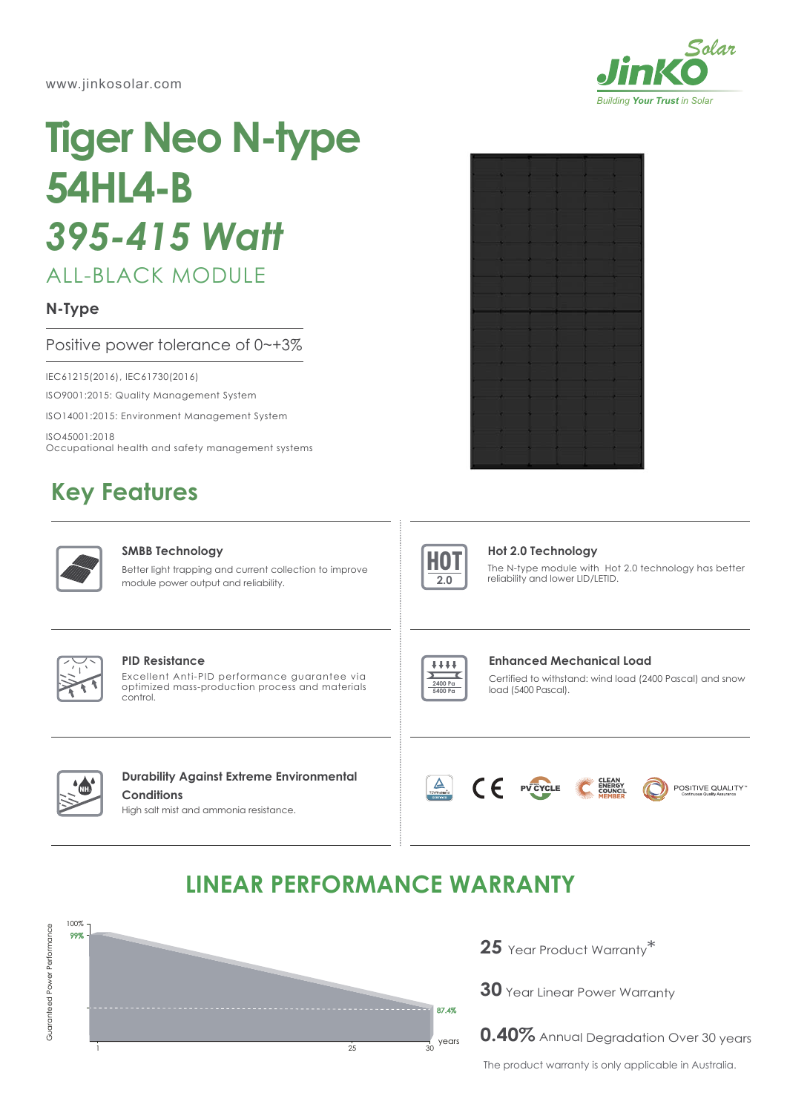www.jinkosolar.com



# **Tiger Neo N-type 54HL4-B** *395-415 Watt*

# ALL-BLACK MODULE

## **N-Type**

## Positive power tolerance of 0~+3%

IEC61215(2016), IEC61730(2016)

ISO9001:2015: Quality Management System

ISO14001:2015: Environment Management System

ISO45001:2018 Occupational health and safety management systems

# **Key Features**



#### **SMBB Technology**

Better light trapping and current collection to improve module power output and reliability.





#### **Hot 2.0 Technology**

The N-type module with Hot 2.0 technology has better reliability and lower LID/LETID.



#### **PID Resistance**

Excellent Anti-PID performance guarantee via optimized mass-production process and materials control.



Certified to withstand: wind load (2400 Pascal) and snow load (5400 Pascal). **Enhanced Mechanical Load**



## **Durability Against Extreme Environmental Conditions**

High salt mist and ammonia resistance.





POSITIVE QUALITY

# **LINEAR PERFORMANCE WARRANTY**



**25** Year Product Warranty \*

**30** Year Linear Power Warranty

**0.40%** Annual Degradation Over 30 years

The product warranty is only applicable in Australia.